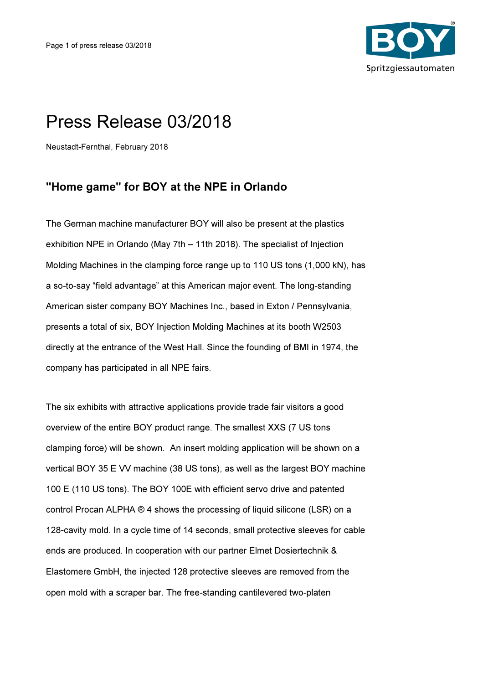

## Press Release 03/2018

Neustadt-Fernthal, February 2018

## "Home game" for BOY at the NPE in Orlando

The German machine manufacturer BOY will also be present at the plastics exhibition NPE in Orlando (May 7th – 11th 2018). The specialist of Injection Molding Machines in the clamping force range up to 110 US tons (1,000 kN), has a so-to-say "field advantage" at this American major event. The long-standing American sister company BOY Machines Inc., based in Exton / Pennsylvania, presents a total of six, BOY Injection Molding Machines at its booth W2503 directly at the entrance of the West Hall. Since the founding of BMI in 1974, the company has participated in all NPE fairs.

The six exhibits with attractive applications provide trade fair visitors a good overview of the entire BOY product range. The smallest XXS (7 US tons clamping force) will be shown. An insert molding application will be shown on a vertical BOY 35 E VV machine (38 US tons), as well as the largest BOY machine 100 E (110 US tons). The BOY 100E with efficient servo drive and patented control Procan ALPHA ® 4 shows the processing of liquid silicone (LSR) on a 128-cavity mold. In a cycle time of 14 seconds, small protective sleeves for cable ends are produced. In cooperation with our partner Elmet Dosiertechnik & Elastomere GmbH, the injected 128 protective sleeves are removed from the open mold with a scraper bar. The free-standing cantilevered two-platen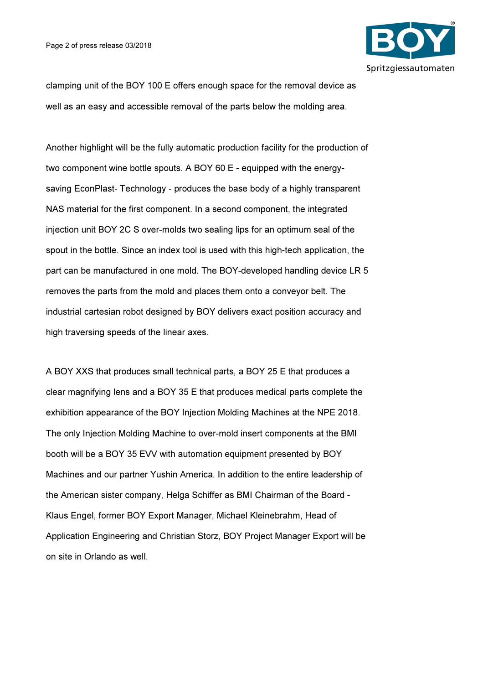

clamping unit of the BOY 100 E offers enough space for the removal device as well as an easy and accessible removal of the parts below the molding area.

Another highlight will be the fully automatic production facility for the production of two component wine bottle spouts. A BOY 60 E - equipped with the energysaving EconPlast- Technology - produces the base body of a highly transparent NAS material for the first component. In a second component, the integrated injection unit BOY 2C S over-molds two sealing lips for an optimum seal of the spout in the bottle. Since an index tool is used with this high-tech application, the part can be manufactured in one mold. The BOY-developed handling device LR 5 removes the parts from the mold and places them onto a conveyor belt. The industrial cartesian robot designed by BOY delivers exact position accuracy and high traversing speeds of the linear axes.

A BOY XXS that produces small technical parts, a BOY 25 E that produces a clear magnifying lens and a BOY 35 E that produces medical parts complete the exhibition appearance of the BOY Injection Molding Machines at the NPE 2018. The only Injection Molding Machine to over-mold insert components at the BMI booth will be a BOY 35 EVV with automation equipment presented by BOY Machines and our partner Yushin America. In addition to the entire leadership of the American sister company, Helga Schiffer as BMI Chairman of the Board - Klaus Engel, former BOY Export Manager, Michael Kleinebrahm, Head of Application Engineering and Christian Storz, BOY Project Manager Export will be on site in Orlando as well.